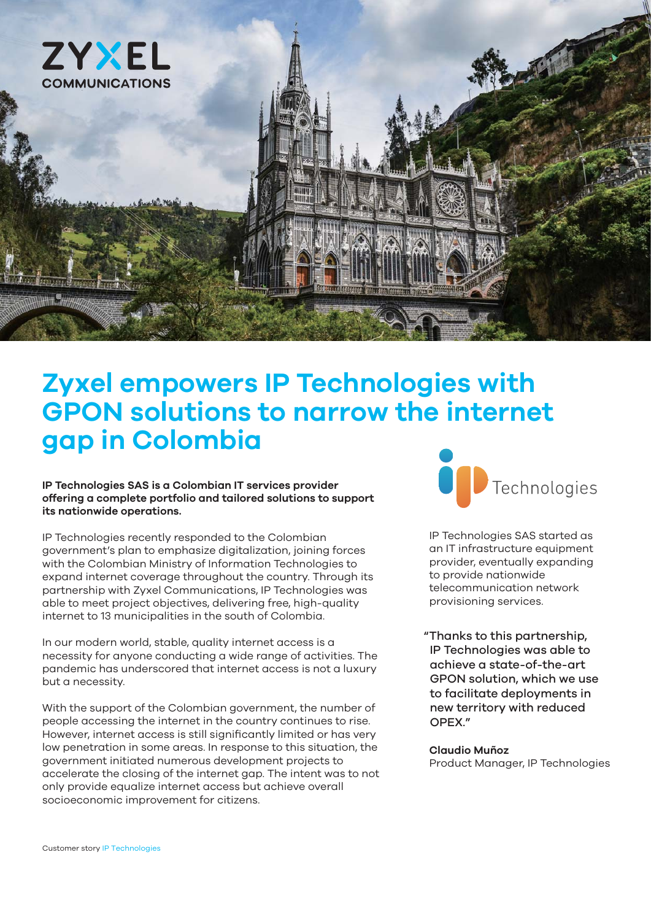

## **Zyxel empowers IP Technologies with GPON solutions to narrow the internet gap in Colombia**

#### **IP Technologies SAS is a Colombian IT services provider offering a complete portfolio and tailored solutions to support its nationwide operations.**

IP Technologies recently responded to the Colombian government's plan to emphasize digitalization, joining forces with the Colombian Ministry of Information Technologies to expand internet coverage throughout the country. Through its partnership with Zyxel Communications, IP Technologies was able to meet project objectives, delivering free, high-quality internet to 13 municipalities in the south of Colombia.

In our modern world, stable, quality internet access is a necessity for anyone conducting a wide range of activities. The pandemic has underscored that internet access is not a luxury but a necessity.

With the support of the Colombian government, the number of people accessing the internet in the country continues to rise. However, internet access is still significantly limited or has very low penetration in some areas. In response to this situation, the government initiated numerous development projects to accelerate the closing of the internet gap. The intent was to not only provide equalize internet access but achieve overall socioeconomic improvement for citizens.



IP Technologies SAS started as an IT infrastructure equipment provider, eventually expanding to provide nationwide telecommunication network provisioning services.

"Thanks to this partnership, IP Technologies was able to achieve a state-of-the-art GPON solution, which we use to facilitate deployments in new territory with reduced OPEX."

#### **Claudio Muñoz**

Product Manager, IP Technologies